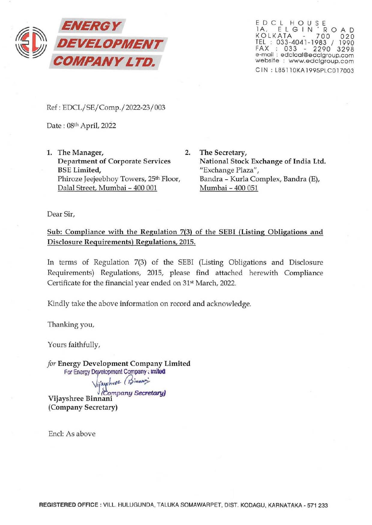

EDCL HOUSE 1A. ELGIN ROAD KOLKATA 700 020 TEL : 033·4041·1983 I 1990 fAX : 033 . 2290 3298 **B-mail : edclcal@edclgroup.com website : www.edclgroup.com CIN : L85110KA 1995PLC01700J** 

Ref : EDCL/SE/Comp./2022-23/003

Date: 08th April, 2022

- **1. The Manager, 2. Department of Corporate Services BSE Limited, Phiroze Jeejeebhoy Towers, 25th Floor,**  Dalal Street, Mumbai - 400 001
	- **The Secretary, National Stock Exchange of India Ltd. "Exchange Plaza", Bandra - Kurla Complex, Bandra (E),**  Mumbai - 400 051

**Dear Sir,** 

**Sub: Compliance with the Regulation 7(3) of the SEBI (Listing Obligations and Disclosure Requirements) Regulations, 2015.** 

In terms of Regulation 7(3) of the SEBI (Listing Obligations and Disclosure **Requirements) Regulations, 2015, please find attached herewith Compliance**  Certificate for the financial year ended on 31<sup>st</sup> March, 2022.

**Kindly take the above information on record and acknowledge.** 

**Thanking you,** 

**Yours faithfully,** 

*for* **Energy Development Company Limited**  For Energy Development Company : Imited

Vijayshree *(Binnam)* 

.. . *ll6o.mpany Secretwy)* **VIJayshree Btnnal1l**  (Company Secretary)

Encl: As above